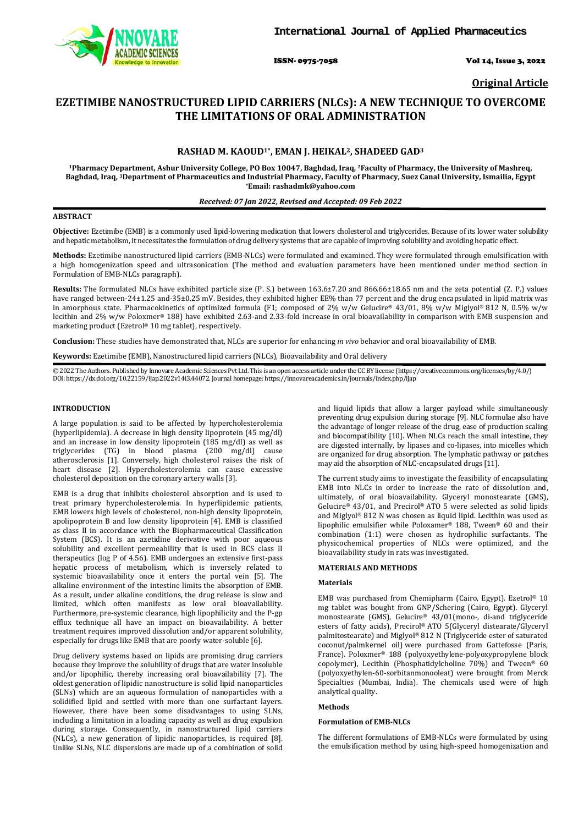

ISSN- 0975-7058 Vol 14, Issue 3, 2022

**Original Article**

# **EZETIMIBE NANOSTRUCTURED LIPID CARRIERS (NLCs): A NEW TECHNIQUE TO OVERCOME THE LIMITATIONS OF ORAL ADMINISTRATION**

# **RASHAD M. KAOUD1\*, EMAN J. HEIKAL2, SHADEED GAD3**

**1Pharmacy Department, Ashur University College, PO Box 10047, Baghdad, Iraq, 2Faculty of Pharmacy, the University of Mashreq, Baghdad, Iraq, 3Department of Pharmaceutics and Industrial Pharmacy, Faculty of Pharmacy, Suez Canal University, Ismailia, Egypt \*Email[: rashadmk@yahoo.com](mailto:rashadmk@yahoo.com)**

### *Received: 07 Jan 2022, Revised and Accepted: 09 Feb 2022*

### **ABSTRACT**

**Objective:** Ezetimibe (EMB) is a commonly used lipid-lowering medication that lowers cholesterol and triglycerides. Because of its lower water solubility and hepatic metabolism, it necessitates the formulation of drug delivery systems that are capable of improving solubility and avoiding hepatic effect.

**Methods:** Ezetimibe nanostructured lipid carriers (EMB-NLCs) were formulated and examined. They were formulated through emulsification with a high homogenization speed and ultrasonication (The method and evaluation parameters have been mentioned under method section in Formulation of EMB-NLCs paragraph).

**Results:** The formulated NLCs have exhibited particle size (P. S.) between 163.6±7.20 and 866.66±18.65 nm and the zeta potential (Z. P.) values have ranged between-24±1.25 and-35±0.25 mV. Besides, they exhibited higher EE% than 77 percent and the drug encapsulated in lipid matrix was in amorphous state. Pharmacokinetics of optimized formula (F1; composed of 2% w/w Gelucire® 43/01, 8% w/w Miglyol® 812 N, 0.5% w/w lecithin and 2% w/w Poloxmer® 188) have exhibited 2.63-and 2.33-fold increase in oral bioavailability in comparison with EMB suspension and marketing product (Ezetrol® 10 mg tablet), respectively.

**Conclusion:** These studies have demonstrated that, NLCs are superior for enhancing *in vivo* behavior and oral bioavailability of EMB.

**Keywords:** Ezetimibe (EMB), Nanostructured lipid carriers (NLCs), Bioavailability and Oral delivery

© 2022 The Authors. Published by Innovare Academic Sciences Pvt Ltd. This is an open access article under the CC BY license [\(https://creativecommons.org/licenses/by/4.0/\)](https://creativecommons.org/licenses/by/4.0/) DOI: https://dx.doi.org/10.22159/ijap.2022v14i3.44072. Journal homepage[: https://innovareacademics.in/journals/index.php/ijap](https://innovareacademics.in/journals/index.php/ijap)

# **INTRODUCTION**

A large population is said to be affected by hypercholesterolemia (hyperlipidemia). A decrease in high density lipoprotein (45 mg/dl) and an increase in low density lipoprotein (185 mg/dl) as well as triglycerides (TG) in blood plasma (200 mg/dl) cause atherosclerosis [1]. Conversely, high cholesterol raises the risk of heart disease [2]. Hypercholesterolemia can cause excessive cholesterol deposition on the coronary artery walls [3].

EMB is a drug that inhibits cholesterol absorption and is used to treat primary hypercholesterolemia. In hyperlipidemic patients, EMB lowers high levels of cholesterol, non-high density lipoprotein, apolipoprotein B and low density lipoprotein [4]. EMB is classified as class II in accordance with the Biopharmaceutical Classification System (BCS). It is an azetidine derivative with poor aqueous solubility and excellent permeability that is used in BCS class II therapeutics (log P of 4.56). EMB undergoes an extensive first-pass hepatic process of metabolism, which is inversely related to systemic bioavailability once it enters the portal vein [5]. The alkaline environment of the intestine limits the absorption of EMB. As a result, under alkaline conditions, the drug release is slow and limited, which often manifests as low oral bioavailability. Furthermore, pre-systemic clearance, high lipophilicity and the P-gp efflux technique all have an impact on bioavailability. A better treatment requires improved dissolution and/or apparent solubility, especially for drugs like EMB that are poorly water-soluble [6].

Drug delivery systems based on lipids are promising drug carriers because they improve the solubility of drugs that are water insoluble and/or lipophilic, thereby increasing oral bioavailability [7]. The oldest generation of lipidic nanostructure is solid lipid nanoparticles (SLNs) which are an aqueous formulation of nanoparticles with a solidified lipid and settled with more than one surfactant layers. However, there have been some disadvantages to using SLNs, including a limitation in a loading capacity as well as drug expulsion during storage. Consequently, in nanostructured lipid carriers (NLCs), a new generation of lipidic nanoparticles, is required [8]. Unlike SLNs, NLC dispersions are made up of a combination of solid

and liquid lipids that allow a larger payload while simultaneously preventing drug expulsion during storage [9]. NLC formulae also have the advantage of longer release of the drug, ease of production scaling and biocompatibility [10]. When NLCs reach the small intestine, they are digested internally, by lipases and co-lipases, into micelles which are organized for drug absorption. The lymphatic pathway or patches may aid the absorption of NLC-encapsulated drugs [11].

The current study aims to investigate the feasibility of encapsulating EMB into NLCs in order to increase the rate of dissolution and, ultimately, of oral bioavailability. Glyceryl monostearate (GMS), Gelucire® 43/01, and Precirol® ATO 5 were selected as solid lipids and Miglyol® 812 N was chosen as liquid lipid. Lecithin was used as lipophilic emulsifier while Poloxamer® 188, Tween® 60 and their combination (1:1) were chosen as hydrophilic surfactants. The physicochemical properties of NLCs were optimized, and the bioavailability study in rats was investigated.

### **MATERIALS AND METHODS**

### **Materials**

EMB was purchased from Chemipharm (Cairo, Egypt). Ezetrol® 10 mg tablet was bought from GNP/Schering (Cairo, Egypt). Glyceryl monostearate (GMS), Gelucire® 43/01(mono-, di-and triglyceride esters of fatty acids), Precirol® ATO 5(Glyceryl distearate/Glyceryl palmitostearate) and Miglyol® 812 N (Triglyceride ester of saturated coconut/palmkernel oil) were purchased from Gattefosse (Paris, France). Poloxmer® 188 (polyoxyethylene-polyoxypropylene block copolymer), Lecithin (Phosphatidylcholine 70%) and Tween® 60 (polyoxyethylen-60-sorbitanmonooleat) were brought from Merck Specialties (Mumbai, India). The chemicals used were of high analytical quality.

### **Methods**

### **Formulation of EMB-NLCs**

The different formulations of EMB-NLCs were formulated by using the emulsification method by using high-speed homogenization and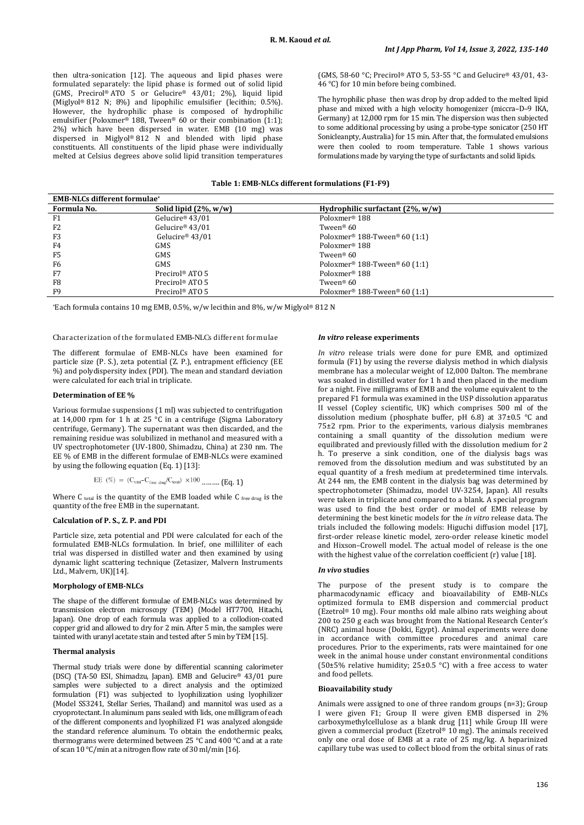then ultra-sonication [12]. The aqueous and lipid phases were formulated separately: the lipid phase is formed out of solid lipid (GMS, Precirol® ATO 5 or Gelucire® 43/01; 2%), liquid lipid (Miglyol® 812 N; 8%) and lipophilic emulsifier (lecithin; 0.5%). However, the hydrophilic phase is composed of hydrophilic emulsifier (Poloxmer® 188, Tween® 60 or their combination (1:1); 2%) which have been dispersed in water. EMB (10 mg) was dispersed in Miglyol® 812 N and blended with lipid phase constituents. All constituents of the lipid phase were individually melted at Celsius degrees above solid lipid transition temperatures (GMS, 58-60 °C; Precirol® ATO 5, 53-55 °C and Gelucire® 43/01, 43- 46 °C) for 10 min before being combined.

The hyrophilic phase then was drop by drop added to the melted lipid phase and mixed with a high velocity homogenizer (miccra–D–9 IKA, Germany) at 12,000 rpm for 15 min. The dispersion was then subjected to some additional processing by using a probe-type sonicator (250 HT Sonicleanpty, Australia) for 15 min. After that, the formulated emulsions were then cooled to room temperature. Table 1 shows various formulations made by varying the type of surfactants and solid lipids.

# **Table 1: EMB-NLCs different formulations (F1-F9)**

| <b>EMB-NLCs different formulae*</b> |                             |                                                       |  |  |  |
|-------------------------------------|-----------------------------|-------------------------------------------------------|--|--|--|
| Formula No.                         | Solid lipid $(2\%, w/w)$    | Hydrophilic surfactant $(2\%$ , w/w)                  |  |  |  |
| F1                                  | Gelucire <sup>®</sup> 43/01 | Poloxmer <sup>®</sup> 188                             |  |  |  |
| F2                                  | Gelucire <sup>®</sup> 43/01 | Tween® $60$                                           |  |  |  |
| F <sub>3</sub>                      | Gelucire® 43/01             | Poloxmer <sup>®</sup> 188-Tween <sup>®</sup> 60 (1:1) |  |  |  |
| F4                                  | GMS                         | Poloxmer <sup>®</sup> 188                             |  |  |  |
| F <sub>5</sub>                      | <b>GMS</b>                  | Tween® 60                                             |  |  |  |
| F6                                  | <b>GMS</b>                  | Poloxmer <sup>®</sup> 188-Tween <sup>®</sup> 60 (1:1) |  |  |  |
| F7                                  | Precirol <sup>®</sup> ATO 5 | Poloxmer <sup>®</sup> 188                             |  |  |  |
| F8                                  | Precirol <sup>®</sup> ATO 5 | Tween® $60$                                           |  |  |  |
| F9                                  | Precirol <sup>®</sup> ATO 5 | Poloxmer <sup>®</sup> 188-Tween <sup>®</sup> 60 (1:1) |  |  |  |

\*Each formula contains 10 mg EMB, 0.5%, w/w lecithin and 8%, w/w Miglyol<sup>®</sup> 812 N

### Characterization of the formulated EMB-NLCs different formulae

The different formulae of EMB-NLCs have been examined for particle size (P. S.), zeta potential (Z. P.), entrapment efficiency (EE %) and polydispersity index (PDI). The mean and standard deviation were calculated for each trial in triplicate.

# **Determination of EE %**

Various formulae suspensions (1 ml) was subjected to centrifugation at 14,000 rpm for 1 h at 25 °C in a centrifuge (Sigma Laboratory centrifuge, Germany). The supernatant was then discarded, and the remaining residue was solubilized in methanol and measured with a UV spectrophotometer (UV-1800, Shimadzu, China) at 230 nm. The EE % of EMB in the different formulae of EMB-NLCs were examined by using the following equation (Eq. 1) [13]:

```
EE (\%) = (C_{total} - C_{free \text{ drug}} / C_{total}) \times 100 .......... (Eq. 1)
```
Where C total is the quantity of the EMB loaded while C free drug is the quantity of the free EMB in the supernatant.

# **Calculation of P. S., Z. P. and PDI**

Particle size, zeta potential and PDI were calculated for each of the formulated EMB-NLCs formulation. In brief, one milliliter of each trial was dispersed in distilled water and then examined by using dynamic light scattering technique (Zetasizer, Malvern Instruments Ltd., Malvern, UK)[14].

# **Morphology of EMB-NLCs**

The shape of the different formulae of EMB-NLCs was determined by transmission electron microscopy (TEM) (Model HT7700, Hitachi, Japan). One drop of each formula was applied to a collodion-coated copper grid and allowed to dry for 2 min. After 5 min, the samples were tainted with uranyl acetate stain and tested after 5 min by TEM [15].

### **Thermal analysis**

Thermal study trials were done by differential scanning calorimeter (DSC) (TA-50 ESI, Shimadzu, Japan). EMB and Gelucire® 43/01 pure samples were subjected to a direct analysis and the optimized formulation (F1) was subjected to lyophilization using lyophilizer (Model SS3241, Stellar Series, Thailand) and mannitol was used as a cryoprotectant. In aluminum pans sealed with lids, one milligram of each of the different components and lyophilized F1 was analyzed alongside the standard reference aluminum. To obtain the endothermic peaks, thermograms were determined between 25 °C and 400 °C and at a rate of scan 10 °C/min at a nitrogen flow rate of 30 ml/min [16].

### *In vitro* **release experiments**

*In vitro* release trials were done for pure EMB, and optimized formula (F1) by using the reverse dialysis method in which dialysis membrane has a molecular weight of 12,000 Dalton. The membrane was soaked in distilled water for 1 h and then placed in the medium for a night. Five milligrams of EMB and the volume equivalent to the prepared F1 formula was examined in the USP dissolution apparatus II vessel (Copley scientific, UK) which comprises 500 ml of the dissolution medium (phosphate buffer, pH 6.8) at 37±0.5 °C and 75±2 rpm. Prior to the experiments, various dialysis membranes containing a small quantity of the dissolution medium were equilibrated and previously filled with the dissolution medium for 2 h. To preserve a sink condition, one of the dialysis bags was removed from the dissolution medium and was substituted by an equal quantity of a fresh medium at predetermined time intervals. At 244 nm, the EMB content in the dialysis bag was determined by spectrophotometer (Shimadzu, model UV-3254, Japan). All results were taken in triplicate and compared to a blank. A special program was used to find the best order or model of EMB release by determining the best kinetic models for the *in vitro* release data. The trials included the following models: Higuchi diffusion model [17], first-order release kinetic model, zero-order release kinetic model and Hixson–Crowell model. The actual model of release is the one with the highest value of the correlation coefficient (r) value [18].

### *In vivo* **studies**

The purpose of the present study is to compare the pharmacodynamic efficacy and bioavailability of EMB-NLCs optimized formula to EMB dispersion and commercial product (Ezetrol® 10 mg). Four months old male albino rats weighing about 200 to 250 g each was brought from the National Research Center's (NRC) animal house (Dokki, Egypt). Animal experiments were done in accordance with committee procedures and animal care procedures. Prior to the experiments, rats were maintained for one week in the animal house under constant environmental conditions (50±5% relative humidity; 25±0.5 °C) with a free access to water and food pellets.

### **Bioavailability study**

Animals were assigned to one of three random groups (n=3); Group I were given F1; Group II were given EMB dispersed in 2% carboxymethylcellulose as a blank drug [11] while Group III were given a commercial product (Ezetrol® 10 mg). The animals received only one oral dose of EMB at a rate of 25 mg/kg. A heparinized capillary tube was used to collect blood from the orbital sinus of rats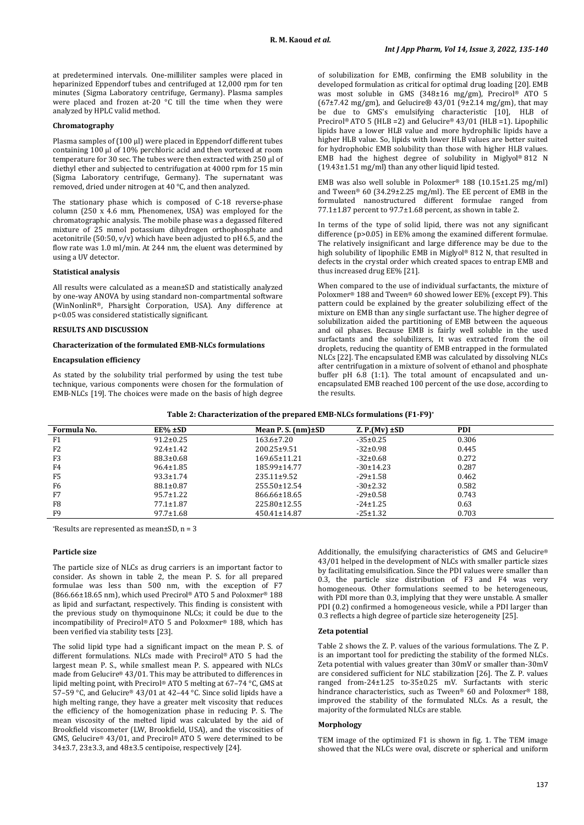at predetermined intervals. One-milliliter samples were placed in heparinized Eppendorf tubes and centrifuged at 12,000 rpm for ten minutes (Sigma Laboratory centrifuge, Germany). Plasma samples were placed and frozen at-20 °C till the time when they were analyzed by HPLC valid method.

# **Chromatography**

Plasma samples of (100 ul) were placed in Eppendorf different tubes containing 100 µl of 10% perchloric acid and then vortexed at room temperature for 30 sec. The tubes were then extracted with 250 µl of diethyl ether and subjected to centrifugation at 4000 rpm for 15 min (Sigma Laboratory centrifuge, Germany). The supernatant was removed, dried under nitrogen at 40 °C, and then analyzed.

The stationary phase which is composed of C-18 reverse-phase column (250 x 4.6 mm, Phenomenex, USA) was employed for the chromatographic analysis. The mobile phase was a degassed filtered mixture of 25 mmol potassium dihydrogen orthophosphate and acetonitrile (50:50,  $v/v$ ) which have been adjusted to pH 6.5, and the flow rate was 1.0 ml/min. At 244 nm, the eluent was determined by using a UV detector.

# **Statistical analysis**

All results were calculated as a mean±SD and statistically analyzed by one-way ANOVA by using standard non-compartmental software (WinNonlinR®, Pharsight Corporation, USA). Any difference at p<0.05 was considered statistically significant.

# **RESULTS AND DISCUSSION**

# **Characterization of the formulated EMB-NLCs formulations**

### **Encapsulation efficiency**

As stated by the solubility trial performed by using the test tube technique, various components were chosen for the formulation of EMB-NLCs [19]. The choices were made on the basis of high degree

of solubilization for EMB, confirming the EMB solubility in the developed formulation as critical for optimal drug loading [20]. EMB was most soluble in GMS (348±16 mg/gm), Precirol® ATO 5 ( $67±7.42$  mg/gm), and Gelucire®  $43/01$  ( $9±2.14$  mg/gm), that may be due to GMS's emulsifying characteristic [10], HLB of Precirol® ATO 5 (HLB =2) and Gelucire® 43/01 (HLB =1). Lipophilic lipids have a lower HLB value and more hydrophilic lipids have a higher HLB value. So, lipids with lower HLB values are better suited for hydrophobic EMB solubility than those with higher HLB values. EMB had the highest degree of solubility in Miglyol® 812 N (19.43±1.51 mg/ml) than any other liquid lipid tested.

EMB was also well soluble in Poloxmer® 188 (10.15±1.25 mg/ml) and Tween® 60 (34.29±2.25 mg/ml). The EE percent of EMB in the formulated nanostructured different formulae ranged from 77.1±1.87 percent to 97.7±1.68 percent, as shown in table 2.

In terms of the type of solid lipid, there was not any significant difference (p>0.05) in EE% among the examined different formulae. The relatively insignificant and large difference may be due to the high solubility of lipophilic EMB in Miglyol® 812 N, that resulted in defects in the crystal order which created spaces to entrap EMB and thus increased drug EE% [21].

When compared to the use of individual surfactants, the mixture of Poloxmer® 188 and Tween® 60 showed lower EE% (except F9). This pattern could be explained by the greater solubilizing effect of the mixture on EMB than any single surfactant use. The higher degree of solubilization aided the partitioning of EMB between the aqueous and oil phases. Because EMB is fairly well soluble in the used surfactants and the solubilizers, It was extracted from the oil droplets, reducing the quantity of EMB entrapped in the formulated NLCs [22]. The encapsulated EMB was calculated by dissolving NLCs after centrifugation in a mixture of solvent of ethanol and phosphate buffer pH 6.8 (1:1). The total amount of encapsulated and unencapsulated EMB reached 100 percent of the use dose, according to the results.

| Formula No.    | $EE% \pm SD$    | Mean P. S. $(nm) \pm SD$ | $Z.P.(Mv) \pm SD$ | <b>PDI</b> |  |
|----------------|-----------------|--------------------------|-------------------|------------|--|
| F1             | $91.2 \pm 0.25$ | $163.6 \pm 7.20$         | $-35\pm0.25$      | 0.306      |  |
| F <sub>2</sub> | $92.4 \pm 1.42$ | $200.25 \pm 9.51$        | $-32 \pm 0.98$    | 0.445      |  |
| F3             | $88.3 \pm 0.68$ | $169.65 \pm 11.21$       | $-32\pm0.68$      | 0.272      |  |
| F4             | $96.4 \pm 1.85$ | 185.99±14.77             | $-30\pm14.23$     | 0.287      |  |
| F5             | $93.3 \pm 1.74$ | $235.11 \pm 9.52$        | $-29 \pm 1.58$    | 0.462      |  |
| F6             | $88.1 \pm 0.87$ | $255.50 \pm 12.54$       | $-30\pm2.32$      | 0.582      |  |
| F7             | $95.7 \pm 1.22$ | 866.66±18.65             | $-29 \pm 0.58$    | 0.743      |  |
| F8             | $77.1 \pm 1.87$ | 225.80±12.55             | $-24 \pm 1.25$    | 0.63       |  |
| F <sub>9</sub> | $97.7 \pm 1.68$ | 450.41±14.87             | $-25 \pm 1.32$    | 0.703      |  |

\*Results are represented as mean±SD, n = 3

### **Particle size**

The particle size of NLCs as drug carriers is an important factor to consider. As shown in table 2, the mean P. S. for all prepared formulae was less than 500 nm, with the exception of F7 (866.66±18.65 nm), which used Precirol® ATO 5 and Poloxmer® 188 as lipid and surfactant, respectively. This finding is consistent with the previous study on thymoquinone NLCs; it could be due to the incompatibility of Precirol® ATO 5 and Poloxmer® 188, which has been verified via stability tests [23].

The solid lipid type had a significant impact on the mean P. S. of different formulations. NLCs made with Precirol® ATO 5 had the largest mean P. S., while smallest mean P. S. appeared with NLCs made from Gelucire® 43/01. This may be attributed to differences in lipid melting point, with Precirol® ATO 5 melting at 67–74 °C, GMS at 57–59 °C, and Gelucire® 43/01 at 42–44 °C. Since solid lipids have a high melting range, they have a greater melt viscosity that reduces the efficiency of the homogenization phase in reducing P. S. The mean viscosity of the melted lipid was calculated by the aid of Brookfield viscometer (LW, Brookfield, USA), and the viscosities of GMS, Gelucire® 43/01, and Precirol® ATO 5 were determined to be 34±3.7, 23±3.3, and 48±3.5 centipoise, respectively [24].

Additionally, the emulsifying characteristics of GMS and Gelucire® 43/01 helped in the development of NLCs with smaller particle sizes by facilitating emulsification. Since the PDI values were smaller than 0.3, the particle size distribution of F3 and F4 was very homogeneous. Other formulations seemed to be heterogeneous, with PDI more than 0.3, implying that they were unstable. A smaller PDI (0.2) confirmed a homogeneous vesicle, while a PDI larger than 0.3 reflects a high degree of particle size heterogeneity [25].

#### **Zeta potential**

Table 2 shows the Z. P. values of the various formulations. The Z. P. is an important tool for predicting the stability of the formed NLCs. Zeta potential with values greater than 30mV or smaller than-30mV are considered sufficient for NLC stabilization [26]. The Z. P. values ranged from-24±1.25 to-35±0.25 mV. Surfactants with steric hindrance characteristics, such as Tween® 60 and Poloxmer® 188, improved the stability of the formulated NLCs. As a result, the majority of the formulated NLCs are stable.

# **Morphology**

TEM image of the optimized F1 is shown in fig. 1. The TEM image showed that the NLCs were oval, discrete or spherical and uniform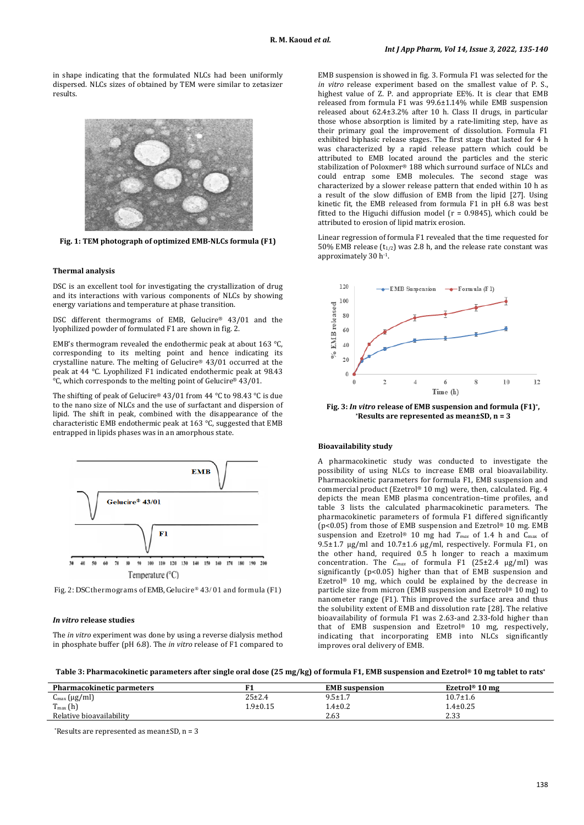in shape indicating that the formulated NLCs had been uniformly dispersed. NLCs sizes of obtained by TEM were similar to zetasizer results.



**Fig. 1: TEM photograph of optimized EMB-NLCs formula (F1)**

### **Thermal analysis**

DSC is an excellent tool for investigating the crystallization of drug and its interactions with various components of NLCs by showing energy variations and temperature at phase transition.

DSC different thermograms of EMB, Gelucire® 43/01 and the lyophilized powder of formulated F1 are shown in fig. 2.

EMB's thermogram revealed the endothermic peak at about 163 °C, corresponding to its melting point and hence indicating its crystalline nature. The melting of Gelucire® 43/01 occurred at the peak at 44 °C. Lyophilized F1 indicated endothermic peak at 98.43 °C, which corresponds to the melting point of Gelucire® 43/01.

The shifting of peak of Gelucire® 43/01 from 44 °C to 98.43 °C is due to the nano size of NLCs and the use of surfactant and dispersion of lipid. The shift in peak, combined with the disappearance of the characteristic EMB endothermic peak at 163 °C, suggested that EMB entrapped in lipids phases was in an amorphous state.



Fig. 2: DSC thermograms of EMB, Gelucire® 43/ 01 and formula (F1)

# *In vitro* **release studies**

The *in vitro* experiment was done by using a reverse dialysis method in phosphate buffer (pH 6.8). The *in vitro* release of F1 compared to

EMB suspension is showed in fig. 3. Formula F1 was selected for the *in vitro* release experiment based on the smallest value of P. S., highest value of Z. P. and appropriate EE%. It is clear that EMB released from formula F1 was 99.6±1.14% while EMB suspension released about 62.4±3.2% after 10 h. Class II drugs, in particular those whose absorption is limited by a rate-limiting step, have as their primary goal the improvement of dissolution. Formula F1 exhibited biphasic release stages. The first stage that lasted for 4 h was characterized by a rapid release pattern which could be attributed to EMB located around the particles and the steric stabilization of Poloxmer® 188 which surround surface of NLCs and could entrap some EMB molecules. The second stage was characterized by a slower release pattern that ended within 10 h as a result of the slow diffusion of EMB from the lipid [27]. Using kinetic fit, the EMB released from formula F1 in pH 6.8 was best fitted to the Higuchi diffusion model ( $r = 0.9845$ ), which could be attributed to erosion of lipid matrix erosion.

Linear regression of formula F1 revealed that the time requested for 50% EMB release  $(t_{1/2})$  was 2.8 h, and the release rate constant was approximately 30 h-1.



**Fig.** 3: *In vitro* release of EMB suspension and formula (F1)<sup>\*</sup>, \* **Results are represented as mean±SD**, n = 3

# **Bioavailability study**

A pharmacokinetic study was conducted to investigate the possibility of using NLCs to increase EMB oral bioavailability. Pharmacokinetic parameters for formula F1, EMB suspension and commercial product (Ezetrol® 10 mg) were, then, calculated. Fig. 4 depicts the mean EMB plasma concentration–time profiles, and table 3 lists the calculated pharmacokinetic parameters. The pharmacokinetic parameters of formula F1 differed significantly (p<0.05) from those of EMB suspension and Ezetrol® 10 mg. EMB suspension and Ezetrol® 10 mg had  $T_{max}$  of 1.4 h and C<sub>max</sub> of 9.5±1.7 µg/ml and 10.7±1.6 µg/ml, respectively. Formula F1, on the other hand, required 0.5 h longer to reach a maximum concentration. The *Cmax* of formula F1 (25±2.4 µg/ml) was significantly (p<0.05) higher than that of EMB suspension and Ezetrol® 10 mg, which could be explained by the decrease in particle size from micron (EMB suspension and Ezetrol® 10 mg) to nanometer range (F1). This improved the surface area and thus the solubility extent of EMB and dissolution rate [28]. The relative bioavailability of formula F1 was 2.63-and 2.33-fold higher than that of EMB suspension and Ezetrol® 10 mg, respectively, indicating that incorporating EMB into NLCs significantly improves oral delivery of EMB.

**Table 3: Pharmacokinetic parameters after single oral dose (25 mg/kg) of formula F1, EMB suspension and Ezetrol® 10 mg tablet to rats\***

| <b>Pharmacokinetic parmeters</b>    |              | <b>EMB</b> suspension | Ezetrol <sup>®</sup> 10 mg |
|-------------------------------------|--------------|-----------------------|----------------------------|
| $C_{\text{max}} (\mu g/ml)$         | $25 \pm 2.4$ | $9.5 \pm 1.7$         | $10.7 \pm 1.6$             |
| $T_{\text{max}}(h)$<br>$\mathbf{T}$ | l.9±0.15     | $1.4\pm0.2$           | $1.4 + 0.25$               |
| Relative bioavailability            |              | 2.63                  | 2.33                       |

\*Results are represented as mean±SD, n = 3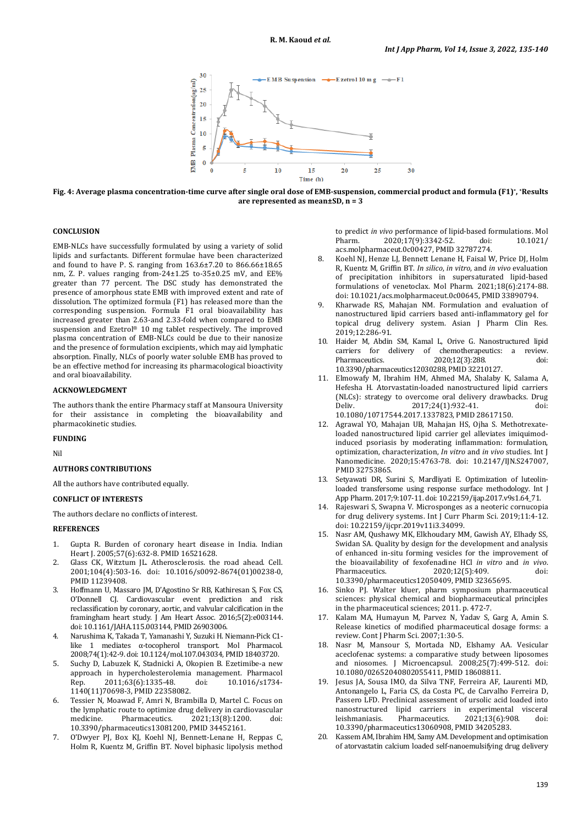

**Fig. 4: Average plasma concentration-time curve after single oral dose of EMB-suspension, commercial product and formula (F1)\*, \*Results are represented as mean±SD, n = 3**

# **CONCLUSION**

EMB-NLCs have successfully formulated by using a variety of solid lipids and surfactants. Different formulae have been characterized and found to have P. S. ranging from 163.6±7.20 to 866.66±18.65 nm, Z. P. values ranging from-24±1.25 to-35±0.25 mV, and EE% greater than 77 percent. The DSC study has demonstrated the presence of amorphous state EMB with improved extent and rate of dissolution. The optimized formula (F1) has released more than the corresponding suspension. Formula F1 oral bioavailability has increased greater than 2.63-and 2.33-fold when compared to EMB suspension and Ezetrol® 10 mg tablet respectively. The improved plasma concentration of EMB-NLCs could be due to their nanosize and the presence of formulation excipients, which may aid lymphatic absorption. Finally, NLCs of poorly water soluble EMB has proved to be an effective method for increasing its pharmacological bioactivity and oral bioavailability.

# **ACKNOWLEDGMENT**

The authors thank the entire Pharmacy staff at Mansoura University for their assistance in completing the bioavailability and pharmacokinetic studies.

#### **FUNDING**

Nil

#### **AUTHORS CONTRIBUTIONS**

All the authors have contributed equally.

# **CONFLICT OF INTERESTS**

The authors declare no conflicts of interest.

### **REFERENCES**

- 1. Gupta R. Burden of coronary heart disease in India. Indian Heart J. 2005;57(6):632-8. PMID [16521628.](https://www.ncbi.nlm.nih.gov/pubmed/16521628)
- 2. Glass CK, Witztum JL. Atherosclerosis. the road ahead. Cell. 2001;104(4):503-16. doi: [10.1016/s0092-8674\(01\)00238-0,](https://doi.org/10.1016/s0092-8674(01)00238-0)  PMI[D 11239408.](https://www.ncbi.nlm.nih.gov/pubmed/11239408)
- 3. Hoffmann U, Massaro JM, D'Agostino Sr RB, Kathiresan S, Fox CS, O'Donnell CJ. Cardiovascular event prediction and risk reclassification by coronary, aortic, and valvular calcification in the framingham heart study. J Am Heart Assoc. 2016;5(2):e003144. doi[: 10.1161/JAHA.115.003144,](https://doi.org/10.1161/JAHA.115.003144) PMI[D 26903006.](https://www.ncbi.nlm.nih.gov/pubmed/26903006)
- 4. Narushima K, Takada T, Yamanashi Y, Suzuki H. Niemann-Pick C1 like 1 mediates α-tocopherol transport. Mol Pharmacol. 2008;74(1):42-9. doi[: 10.1124/mol.107.043034,](https://doi.org/10.1124/mol.107.043034) PMI[D 18403720.](https://www.ncbi.nlm.nih.gov/pubmed/18403720)
- 5. Suchy D, Labuzek K, Stadnicki A, Okopien B. Ezetimibe-a new approach in hypercholesterolemia management. Pharmacol<br>Rep. 2011;63(6):1335-48. doi: 10.1016/s1734-2011;63(6):1335-48. [1140\(11\)70698-3,](https://doi.org/10.1016/s1734-1140(11)70698-3) PMI[D 22358082.](https://www.ncbi.nlm.nih.gov/pubmed/22358082)
- 6. Tessier N, Moawad F, Amri N, Brambilla D, Martel C. Focus on the lymphatic route to optimize drug delivery in cardiovascular<br>medicine. Pharmaceutics. 2021:13(8):1200. doi:  $2021;13(8):1200.$ [10.3390/pharmaceutics13081200,](https://doi.org/10.3390/pharmaceutics13081200) PMI[D 34452161.](https://www.ncbi.nlm.nih.gov/pubmed/34452161)
- 7. O'Dwyer PJ, Box KJ, Koehl NJ, Bennett-Lenane H, Reppas C, Holm R, Kuentz M, Griffin BT. Novel biphasic lipolysis method

to predict *in vivo* performance of lipid-based formulations. Mol<br>Pharm. 2020:17(9):3342-52. doi: 10.1021/ 2020;17(9):3342-52. [acs.molpharmaceut.0c00427,](https://doi.org/10.1021/acs.molpharmaceut.0c00427) PMI[D 32787274.](https://www.ncbi.nlm.nih.gov/pubmed/32787274)

- 8. Koehl NJ, Henze LJ, Bennett Lenane H, Faisal W, Price DJ, Holm R, Kuentz M, Griffin BT. *In silico*, *in vitro*, and *in vivo* evaluation of precipitation inhibitors in supersaturated lipid-based formulations of venetoclax. Mol Pharm. 2021;18(6):2174-88. doi[: 10.1021/acs.molpharmaceut.0c00645,](https://doi.org/10.1021/acs.molpharmaceut.0c00645) PMI[D 33890794.](https://www.ncbi.nlm.nih.gov/pubmed/33890794)
- 9. Kharwade RS, Mahajan NM. Formulation and evaluation of nanostructured lipid carriers based anti-inflammatory gel for topical drug delivery system. Asian J Pharm Clin Res. 2019;12:286-91.
- 10. Haider M, Abdin SM, Kamal L, Orive G. Nanostructured lipid carriers for delivery of chemotherapeutics: a review. Pharmaceutics. 2020;12(3):288. doi: [10.3390/pharmaceutics12030288,](https://doi.org/10.3390/pharmaceutics12030288) PMI[D 32210127.](https://www.ncbi.nlm.nih.gov/pubmed/32210127)
- 11. Elmowafy M, Ibrahim HM, Ahmed MA, Shalaby K, Salama A, Hefesha H. Atorvastatin-loaded nanostructured lipid carriers (NLCs): strategy to overcome oral delivery drawbacks. Drug<br>Deliv. 2017;24(1):932-41. doi: Deliv. 2017;24(1):932-41. doi: [10.1080/10717544.2017.1337823,](https://doi.org/10.1080/10717544.2017.1337823) PMI[D 28617150.](https://www.ncbi.nlm.nih.gov/pubmed/28617150)
- 12. Agrawal YO, Mahajan UB, Mahajan HS, Ojha S. Methotrexateloaded nanostructured lipid carrier gel alleviates imiquimodinduced psoriasis by moderating inflammation: formulation, optimization, characterization, *In vitro* and *in vivo* studies. Int J Nanomedicine. 2020;15:4763-78. doi: [10.2147/IJN.S247007,](https://doi.org/10.2147/IJN.S247007)  PMI[D 32753865.](https://www.ncbi.nlm.nih.gov/pubmed/32753865)
- 13. Setyawati DR, Surini S, Mardliyati E. Optimization of luteolinloaded transfersome using response surface methodology. Int J App Pharm. 2017;9:107-11. doi[: 10.22159/ijap.2017.v9s1.64\\_71.](https://doi.org/10.22159/ijap.2017.v9s1.64_71)
- 14. Rajeswari S, Swapna V. Microsponges as a neoteric cornucopia for drug delivery systems. Int J Curr Pharm Sci. 2019;11:4-12. doi[: 10.22159/ijcpr.2019v11i3.34099.](https://doi.org/10.22159/ijcpr.2019v11i3.34099)
- 15. Nasr AM, Qushawy MK, Elkhoudary MM, Gawish AY, Elhady SS, Swidan SA. Quality by design for the development and analysis of enhanced in-situ forming vesicles for the improvement of the bioavailability of fexofenadine HCl *in vitro* and *in vivo*. 2020;12(5):409. [10.3390/pharmaceutics12050409,](https://doi.org/10.3390/pharmaceutics12050409) PMI[D 32365695.](https://www.ncbi.nlm.nih.gov/pubmed/32365695)
- 16. Sinko PJ. Walter kluer, pharm symposium pharmaceutical sciences: physical chemical and biopharmaceutical principles in the pharmaceutical sciences; 2011. p. 472-7.
- 17. Kalam MA, Humayun M, Parvez N, Yadav S, Garg A, Amin S. Release kinetics of modified pharmaceutical dosage forms: a review. Cont J Pharm Sci. 2007;1:30-5.
- 18. Nasr M, Mansour S, Mortada ND, Elshamy AA. Vesicular aceclofenac systems: a comparative study between liposomes and niosomes. J Microencapsul. 2008;25(7):499-512. doi: [10.1080/02652040802055411,](https://doi.org/10.1080/02652040802055411) PMI[D 18608811.](https://www.ncbi.nlm.nih.gov/pubmed/18608811)
- 19. Jesus JA, Sousa IMO, da Silva TNF, Ferreira AF, Laurenti MD, Antonangelo L, Faria CS, da Costa PC, de Carvalho Ferreira D, Passero LFD. Preclinical assessment of ursolic acid loaded into nanostructured lipid carriers in experimental visceral leishmaniasis. Pharmaceutics. 2021;13(6):908. doi: [10.3390/pharmaceutics13060908,](https://doi.org/10.3390/pharmaceutics13060908) PMI[D 34205283.](https://www.ncbi.nlm.nih.gov/pubmed/34205283)
- 20. Kassem AM, Ibrahim HM, Samy AM. Development and optimisation of atorvastatin calcium loaded self-nanoemulsifying drug delivery